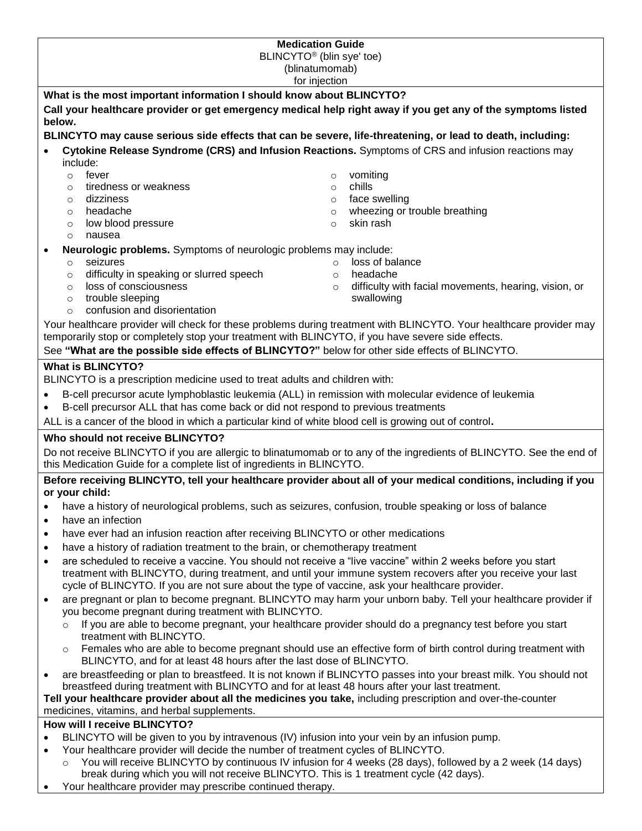| BLINCYTO <sup>®</sup> (blin sye' toe)<br>(blinatumomab)<br>for injection<br>What is the most important information I should know about BLINCYTO?<br>Call your healthcare provider or get emergency medical help right away if you get any of the symptoms listed<br>below.<br>BLINCYTO may cause serious side effects that can be severe, life-threatening, or lead to death, including:<br>Cytokine Release Syndrome (CRS) and Infusion Reactions. Symptoms of CRS and infusion reactions may<br>include:<br>fever<br>vomiting<br>$\circ$<br>$\circ$<br>tiredness or weakness<br>chills<br>$\circ$<br>$\circ$<br>face swelling<br>dizziness<br>$\circ$<br>$\circ$<br>headache<br>wheezing or trouble breathing<br>$\circ$<br>$\circ$<br>skin rash<br>low blood pressure<br>$\circ$<br>$\circ$<br>nausea<br>$\circ$<br>Neurologic problems. Symptoms of neurologic problems may include:<br>loss of balance<br>seizures<br>$\circ$<br>$\circ$<br>difficulty in speaking or slurred speech<br>headache<br>$\circ$<br>$\circ$<br>loss of consciousness<br>difficulty with facial movements, hearing, vision, or<br>$\circ$<br>$\circ$<br>trouble sleeping<br>swallowing<br>$\circ$<br>confusion and disorientation<br>$\circ$<br>Your healthcare provider will check for these problems during treatment with BLINCYTO. Your healthcare provider may<br>temporarily stop or completely stop your treatment with BLINCYTO, if you have severe side effects.<br>See "What are the possible side effects of BLINCYTO?" below for other side effects of BLINCYTO.<br><b>What is BLINCYTO?</b><br>BLINCYTO is a prescription medicine used to treat adults and children with:<br>B-cell precursor acute lymphoblastic leukemia (ALL) in remission with molecular evidence of leukemia<br>B-cell precursor ALL that has come back or did not respond to previous treatments<br>ALL is a cancer of the blood in which a particular kind of white blood cell is growing out of control.<br>Who should not receive BLINCYTO?<br>Do not receive BLINCYTO if you are allergic to blinatumomab or to any of the ingredients of BLINCYTO. See the end of<br>this Medication Guide for a complete list of ingredients in BLINCYTO.<br>Before receiving BLINCYTO, tell your healthcare provider about all of your medical conditions, including if you<br>or your child:<br>have a history of neurological problems, such as seizures, confusion, trouble speaking or loss of balance<br>$\bullet$<br>have an infection<br>$\bullet$<br>have ever had an infusion reaction after receiving BLINCYTO or other medications<br>$\bullet$<br>have a history of radiation treatment to the brain, or chemotherapy treatment<br>$\bullet$<br>are scheduled to receive a vaccine. You should not receive a "live vaccine" within 2 weeks before you start<br>$\bullet$<br>treatment with BLINCYTO, during treatment, and until your immune system recovers after you receive your last<br>cycle of BLINCYTO. If you are not sure about the type of vaccine, ask your healthcare provider.<br>are pregnant or plan to become pregnant. BLINCYTO may harm your unborn baby. Tell your healthcare provider if<br>$\bullet$<br>you become pregnant during treatment with BLINCYTO.<br>If you are able to become pregnant, your healthcare provider should do a pregnancy test before you start<br>$\circ$<br>treatment with BLINCYTO.<br>Females who are able to become pregnant should use an effective form of birth control during treatment with<br>$\circ$<br>BLINCYTO, and for at least 48 hours after the last dose of BLINCYTO.<br>are breastfeeding or plan to breastfeed. It is not known if BLINCYTO passes into your breast milk. You should not<br>breastfeed during treatment with BLINCYTO and for at least 48 hours after your last treatment.<br>Tell your healthcare provider about all the medicines you take, including prescription and over-the-counter<br>medicines, vitamins, and herbal supplements.<br>How will I receive BLINCYTO?<br>BLINCYTO will be given to you by intravenous (IV) infusion into your vein by an infusion pump.<br>Your healthcare provider will decide the number of treatment cycles of BLINCYTO.<br>$\bullet$<br>You will receive BLINCYTO by continuous IV infusion for 4 weeks (28 days), followed by a 2 week (14 days)<br>$\circ$<br>break during which you will not receive BLINCYTO. This is 1 treatment cycle (42 days). | <b>Medication Guide</b> |  |  |
|--------------------------------------------------------------------------------------------------------------------------------------------------------------------------------------------------------------------------------------------------------------------------------------------------------------------------------------------------------------------------------------------------------------------------------------------------------------------------------------------------------------------------------------------------------------------------------------------------------------------------------------------------------------------------------------------------------------------------------------------------------------------------------------------------------------------------------------------------------------------------------------------------------------------------------------------------------------------------------------------------------------------------------------------------------------------------------------------------------------------------------------------------------------------------------------------------------------------------------------------------------------------------------------------------------------------------------------------------------------------------------------------------------------------------------------------------------------------------------------------------------------------------------------------------------------------------------------------------------------------------------------------------------------------------------------------------------------------------------------------------------------------------------------------------------------------------------------------------------------------------------------------------------------------------------------------------------------------------------------------------------------------------------------------------------------------------------------------------------------------------------------------------------------------------------------------------------------------------------------------------------------------------------------------------------------------------------------------------------------------------------------------------------------------------------------------------------------------------------------------------------------------------------------------------------------------------------------------------------------------------------------------------------------------------------------------------------------------------------------------------------------------------------------------------------------------------------------------------------------------------------------------------------------------------------------------------------------------------------------------------------------------------------------------------------------------------------------------------------------------------------------------------------------------------------------------------------------------------------------------------------------------------------------------------------------------------------------------------------------------------------------------------------------------------------------------------------------------------------------------------------------------------------------------------------------------------------------------------------------------------------------------------------------------------------------------------------------------------------------------------------------------------------------------------------------------------------------------------------------------------------------------------------------------------------------------------------------------------------------------------------------------------------------------------------------------------------------------------------------------------------------------------------------------------------------------------------------------------------------------------------------------------------------------------------------------------------------------------------------------------------------------------------------------------------------------------------|-------------------------|--|--|
|                                                                                                                                                                                                                                                                                                                                                                                                                                                                                                                                                                                                                                                                                                                                                                                                                                                                                                                                                                                                                                                                                                                                                                                                                                                                                                                                                                                                                                                                                                                                                                                                                                                                                                                                                                                                                                                                                                                                                                                                                                                                                                                                                                                                                                                                                                                                                                                                                                                                                                                                                                                                                                                                                                                                                                                                                                                                                                                                                                                                                                                                                                                                                                                                                                                                                                                                                                                                                                                                                                                                                                                                                                                                                                                                                                                                                                                                                                                                                                                                                                                                                                                                                                                                                                                                                                                                                                                                                                                        |                         |  |  |
|                                                                                                                                                                                                                                                                                                                                                                                                                                                                                                                                                                                                                                                                                                                                                                                                                                                                                                                                                                                                                                                                                                                                                                                                                                                                                                                                                                                                                                                                                                                                                                                                                                                                                                                                                                                                                                                                                                                                                                                                                                                                                                                                                                                                                                                                                                                                                                                                                                                                                                                                                                                                                                                                                                                                                                                                                                                                                                                                                                                                                                                                                                                                                                                                                                                                                                                                                                                                                                                                                                                                                                                                                                                                                                                                                                                                                                                                                                                                                                                                                                                                                                                                                                                                                                                                                                                                                                                                                                                        |                         |  |  |
|                                                                                                                                                                                                                                                                                                                                                                                                                                                                                                                                                                                                                                                                                                                                                                                                                                                                                                                                                                                                                                                                                                                                                                                                                                                                                                                                                                                                                                                                                                                                                                                                                                                                                                                                                                                                                                                                                                                                                                                                                                                                                                                                                                                                                                                                                                                                                                                                                                                                                                                                                                                                                                                                                                                                                                                                                                                                                                                                                                                                                                                                                                                                                                                                                                                                                                                                                                                                                                                                                                                                                                                                                                                                                                                                                                                                                                                                                                                                                                                                                                                                                                                                                                                                                                                                                                                                                                                                                                                        |                         |  |  |
|                                                                                                                                                                                                                                                                                                                                                                                                                                                                                                                                                                                                                                                                                                                                                                                                                                                                                                                                                                                                                                                                                                                                                                                                                                                                                                                                                                                                                                                                                                                                                                                                                                                                                                                                                                                                                                                                                                                                                                                                                                                                                                                                                                                                                                                                                                                                                                                                                                                                                                                                                                                                                                                                                                                                                                                                                                                                                                                                                                                                                                                                                                                                                                                                                                                                                                                                                                                                                                                                                                                                                                                                                                                                                                                                                                                                                                                                                                                                                                                                                                                                                                                                                                                                                                                                                                                                                                                                                                                        |                         |  |  |
|                                                                                                                                                                                                                                                                                                                                                                                                                                                                                                                                                                                                                                                                                                                                                                                                                                                                                                                                                                                                                                                                                                                                                                                                                                                                                                                                                                                                                                                                                                                                                                                                                                                                                                                                                                                                                                                                                                                                                                                                                                                                                                                                                                                                                                                                                                                                                                                                                                                                                                                                                                                                                                                                                                                                                                                                                                                                                                                                                                                                                                                                                                                                                                                                                                                                                                                                                                                                                                                                                                                                                                                                                                                                                                                                                                                                                                                                                                                                                                                                                                                                                                                                                                                                                                                                                                                                                                                                                                                        |                         |  |  |
|                                                                                                                                                                                                                                                                                                                                                                                                                                                                                                                                                                                                                                                                                                                                                                                                                                                                                                                                                                                                                                                                                                                                                                                                                                                                                                                                                                                                                                                                                                                                                                                                                                                                                                                                                                                                                                                                                                                                                                                                                                                                                                                                                                                                                                                                                                                                                                                                                                                                                                                                                                                                                                                                                                                                                                                                                                                                                                                                                                                                                                                                                                                                                                                                                                                                                                                                                                                                                                                                                                                                                                                                                                                                                                                                                                                                                                                                                                                                                                                                                                                                                                                                                                                                                                                                                                                                                                                                                                                        |                         |  |  |
|                                                                                                                                                                                                                                                                                                                                                                                                                                                                                                                                                                                                                                                                                                                                                                                                                                                                                                                                                                                                                                                                                                                                                                                                                                                                                                                                                                                                                                                                                                                                                                                                                                                                                                                                                                                                                                                                                                                                                                                                                                                                                                                                                                                                                                                                                                                                                                                                                                                                                                                                                                                                                                                                                                                                                                                                                                                                                                                                                                                                                                                                                                                                                                                                                                                                                                                                                                                                                                                                                                                                                                                                                                                                                                                                                                                                                                                                                                                                                                                                                                                                                                                                                                                                                                                                                                                                                                                                                                                        |                         |  |  |
|                                                                                                                                                                                                                                                                                                                                                                                                                                                                                                                                                                                                                                                                                                                                                                                                                                                                                                                                                                                                                                                                                                                                                                                                                                                                                                                                                                                                                                                                                                                                                                                                                                                                                                                                                                                                                                                                                                                                                                                                                                                                                                                                                                                                                                                                                                                                                                                                                                                                                                                                                                                                                                                                                                                                                                                                                                                                                                                                                                                                                                                                                                                                                                                                                                                                                                                                                                                                                                                                                                                                                                                                                                                                                                                                                                                                                                                                                                                                                                                                                                                                                                                                                                                                                                                                                                                                                                                                                                                        |                         |  |  |
|                                                                                                                                                                                                                                                                                                                                                                                                                                                                                                                                                                                                                                                                                                                                                                                                                                                                                                                                                                                                                                                                                                                                                                                                                                                                                                                                                                                                                                                                                                                                                                                                                                                                                                                                                                                                                                                                                                                                                                                                                                                                                                                                                                                                                                                                                                                                                                                                                                                                                                                                                                                                                                                                                                                                                                                                                                                                                                                                                                                                                                                                                                                                                                                                                                                                                                                                                                                                                                                                                                                                                                                                                                                                                                                                                                                                                                                                                                                                                                                                                                                                                                                                                                                                                                                                                                                                                                                                                                                        |                         |  |  |
|                                                                                                                                                                                                                                                                                                                                                                                                                                                                                                                                                                                                                                                                                                                                                                                                                                                                                                                                                                                                                                                                                                                                                                                                                                                                                                                                                                                                                                                                                                                                                                                                                                                                                                                                                                                                                                                                                                                                                                                                                                                                                                                                                                                                                                                                                                                                                                                                                                                                                                                                                                                                                                                                                                                                                                                                                                                                                                                                                                                                                                                                                                                                                                                                                                                                                                                                                                                                                                                                                                                                                                                                                                                                                                                                                                                                                                                                                                                                                                                                                                                                                                                                                                                                                                                                                                                                                                                                                                                        |                         |  |  |
|                                                                                                                                                                                                                                                                                                                                                                                                                                                                                                                                                                                                                                                                                                                                                                                                                                                                                                                                                                                                                                                                                                                                                                                                                                                                                                                                                                                                                                                                                                                                                                                                                                                                                                                                                                                                                                                                                                                                                                                                                                                                                                                                                                                                                                                                                                                                                                                                                                                                                                                                                                                                                                                                                                                                                                                                                                                                                                                                                                                                                                                                                                                                                                                                                                                                                                                                                                                                                                                                                                                                                                                                                                                                                                                                                                                                                                                                                                                                                                                                                                                                                                                                                                                                                                                                                                                                                                                                                                                        |                         |  |  |
|                                                                                                                                                                                                                                                                                                                                                                                                                                                                                                                                                                                                                                                                                                                                                                                                                                                                                                                                                                                                                                                                                                                                                                                                                                                                                                                                                                                                                                                                                                                                                                                                                                                                                                                                                                                                                                                                                                                                                                                                                                                                                                                                                                                                                                                                                                                                                                                                                                                                                                                                                                                                                                                                                                                                                                                                                                                                                                                                                                                                                                                                                                                                                                                                                                                                                                                                                                                                                                                                                                                                                                                                                                                                                                                                                                                                                                                                                                                                                                                                                                                                                                                                                                                                                                                                                                                                                                                                                                                        |                         |  |  |
|                                                                                                                                                                                                                                                                                                                                                                                                                                                                                                                                                                                                                                                                                                                                                                                                                                                                                                                                                                                                                                                                                                                                                                                                                                                                                                                                                                                                                                                                                                                                                                                                                                                                                                                                                                                                                                                                                                                                                                                                                                                                                                                                                                                                                                                                                                                                                                                                                                                                                                                                                                                                                                                                                                                                                                                                                                                                                                                                                                                                                                                                                                                                                                                                                                                                                                                                                                                                                                                                                                                                                                                                                                                                                                                                                                                                                                                                                                                                                                                                                                                                                                                                                                                                                                                                                                                                                                                                                                                        |                         |  |  |
|                                                                                                                                                                                                                                                                                                                                                                                                                                                                                                                                                                                                                                                                                                                                                                                                                                                                                                                                                                                                                                                                                                                                                                                                                                                                                                                                                                                                                                                                                                                                                                                                                                                                                                                                                                                                                                                                                                                                                                                                                                                                                                                                                                                                                                                                                                                                                                                                                                                                                                                                                                                                                                                                                                                                                                                                                                                                                                                                                                                                                                                                                                                                                                                                                                                                                                                                                                                                                                                                                                                                                                                                                                                                                                                                                                                                                                                                                                                                                                                                                                                                                                                                                                                                                                                                                                                                                                                                                                                        |                         |  |  |
|                                                                                                                                                                                                                                                                                                                                                                                                                                                                                                                                                                                                                                                                                                                                                                                                                                                                                                                                                                                                                                                                                                                                                                                                                                                                                                                                                                                                                                                                                                                                                                                                                                                                                                                                                                                                                                                                                                                                                                                                                                                                                                                                                                                                                                                                                                                                                                                                                                                                                                                                                                                                                                                                                                                                                                                                                                                                                                                                                                                                                                                                                                                                                                                                                                                                                                                                                                                                                                                                                                                                                                                                                                                                                                                                                                                                                                                                                                                                                                                                                                                                                                                                                                                                                                                                                                                                                                                                                                                        |                         |  |  |
|                                                                                                                                                                                                                                                                                                                                                                                                                                                                                                                                                                                                                                                                                                                                                                                                                                                                                                                                                                                                                                                                                                                                                                                                                                                                                                                                                                                                                                                                                                                                                                                                                                                                                                                                                                                                                                                                                                                                                                                                                                                                                                                                                                                                                                                                                                                                                                                                                                                                                                                                                                                                                                                                                                                                                                                                                                                                                                                                                                                                                                                                                                                                                                                                                                                                                                                                                                                                                                                                                                                                                                                                                                                                                                                                                                                                                                                                                                                                                                                                                                                                                                                                                                                                                                                                                                                                                                                                                                                        |                         |  |  |
|                                                                                                                                                                                                                                                                                                                                                                                                                                                                                                                                                                                                                                                                                                                                                                                                                                                                                                                                                                                                                                                                                                                                                                                                                                                                                                                                                                                                                                                                                                                                                                                                                                                                                                                                                                                                                                                                                                                                                                                                                                                                                                                                                                                                                                                                                                                                                                                                                                                                                                                                                                                                                                                                                                                                                                                                                                                                                                                                                                                                                                                                                                                                                                                                                                                                                                                                                                                                                                                                                                                                                                                                                                                                                                                                                                                                                                                                                                                                                                                                                                                                                                                                                                                                                                                                                                                                                                                                                                                        |                         |  |  |
|                                                                                                                                                                                                                                                                                                                                                                                                                                                                                                                                                                                                                                                                                                                                                                                                                                                                                                                                                                                                                                                                                                                                                                                                                                                                                                                                                                                                                                                                                                                                                                                                                                                                                                                                                                                                                                                                                                                                                                                                                                                                                                                                                                                                                                                                                                                                                                                                                                                                                                                                                                                                                                                                                                                                                                                                                                                                                                                                                                                                                                                                                                                                                                                                                                                                                                                                                                                                                                                                                                                                                                                                                                                                                                                                                                                                                                                                                                                                                                                                                                                                                                                                                                                                                                                                                                                                                                                                                                                        |                         |  |  |
|                                                                                                                                                                                                                                                                                                                                                                                                                                                                                                                                                                                                                                                                                                                                                                                                                                                                                                                                                                                                                                                                                                                                                                                                                                                                                                                                                                                                                                                                                                                                                                                                                                                                                                                                                                                                                                                                                                                                                                                                                                                                                                                                                                                                                                                                                                                                                                                                                                                                                                                                                                                                                                                                                                                                                                                                                                                                                                                                                                                                                                                                                                                                                                                                                                                                                                                                                                                                                                                                                                                                                                                                                                                                                                                                                                                                                                                                                                                                                                                                                                                                                                                                                                                                                                                                                                                                                                                                                                                        |                         |  |  |
|                                                                                                                                                                                                                                                                                                                                                                                                                                                                                                                                                                                                                                                                                                                                                                                                                                                                                                                                                                                                                                                                                                                                                                                                                                                                                                                                                                                                                                                                                                                                                                                                                                                                                                                                                                                                                                                                                                                                                                                                                                                                                                                                                                                                                                                                                                                                                                                                                                                                                                                                                                                                                                                                                                                                                                                                                                                                                                                                                                                                                                                                                                                                                                                                                                                                                                                                                                                                                                                                                                                                                                                                                                                                                                                                                                                                                                                                                                                                                                                                                                                                                                                                                                                                                                                                                                                                                                                                                                                        |                         |  |  |
|                                                                                                                                                                                                                                                                                                                                                                                                                                                                                                                                                                                                                                                                                                                                                                                                                                                                                                                                                                                                                                                                                                                                                                                                                                                                                                                                                                                                                                                                                                                                                                                                                                                                                                                                                                                                                                                                                                                                                                                                                                                                                                                                                                                                                                                                                                                                                                                                                                                                                                                                                                                                                                                                                                                                                                                                                                                                                                                                                                                                                                                                                                                                                                                                                                                                                                                                                                                                                                                                                                                                                                                                                                                                                                                                                                                                                                                                                                                                                                                                                                                                                                                                                                                                                                                                                                                                                                                                                                                        |                         |  |  |
|                                                                                                                                                                                                                                                                                                                                                                                                                                                                                                                                                                                                                                                                                                                                                                                                                                                                                                                                                                                                                                                                                                                                                                                                                                                                                                                                                                                                                                                                                                                                                                                                                                                                                                                                                                                                                                                                                                                                                                                                                                                                                                                                                                                                                                                                                                                                                                                                                                                                                                                                                                                                                                                                                                                                                                                                                                                                                                                                                                                                                                                                                                                                                                                                                                                                                                                                                                                                                                                                                                                                                                                                                                                                                                                                                                                                                                                                                                                                                                                                                                                                                                                                                                                                                                                                                                                                                                                                                                                        |                         |  |  |
|                                                                                                                                                                                                                                                                                                                                                                                                                                                                                                                                                                                                                                                                                                                                                                                                                                                                                                                                                                                                                                                                                                                                                                                                                                                                                                                                                                                                                                                                                                                                                                                                                                                                                                                                                                                                                                                                                                                                                                                                                                                                                                                                                                                                                                                                                                                                                                                                                                                                                                                                                                                                                                                                                                                                                                                                                                                                                                                                                                                                                                                                                                                                                                                                                                                                                                                                                                                                                                                                                                                                                                                                                                                                                                                                                                                                                                                                                                                                                                                                                                                                                                                                                                                                                                                                                                                                                                                                                                                        |                         |  |  |
|                                                                                                                                                                                                                                                                                                                                                                                                                                                                                                                                                                                                                                                                                                                                                                                                                                                                                                                                                                                                                                                                                                                                                                                                                                                                                                                                                                                                                                                                                                                                                                                                                                                                                                                                                                                                                                                                                                                                                                                                                                                                                                                                                                                                                                                                                                                                                                                                                                                                                                                                                                                                                                                                                                                                                                                                                                                                                                                                                                                                                                                                                                                                                                                                                                                                                                                                                                                                                                                                                                                                                                                                                                                                                                                                                                                                                                                                                                                                                                                                                                                                                                                                                                                                                                                                                                                                                                                                                                                        |                         |  |  |
|                                                                                                                                                                                                                                                                                                                                                                                                                                                                                                                                                                                                                                                                                                                                                                                                                                                                                                                                                                                                                                                                                                                                                                                                                                                                                                                                                                                                                                                                                                                                                                                                                                                                                                                                                                                                                                                                                                                                                                                                                                                                                                                                                                                                                                                                                                                                                                                                                                                                                                                                                                                                                                                                                                                                                                                                                                                                                                                                                                                                                                                                                                                                                                                                                                                                                                                                                                                                                                                                                                                                                                                                                                                                                                                                                                                                                                                                                                                                                                                                                                                                                                                                                                                                                                                                                                                                                                                                                                                        |                         |  |  |
|                                                                                                                                                                                                                                                                                                                                                                                                                                                                                                                                                                                                                                                                                                                                                                                                                                                                                                                                                                                                                                                                                                                                                                                                                                                                                                                                                                                                                                                                                                                                                                                                                                                                                                                                                                                                                                                                                                                                                                                                                                                                                                                                                                                                                                                                                                                                                                                                                                                                                                                                                                                                                                                                                                                                                                                                                                                                                                                                                                                                                                                                                                                                                                                                                                                                                                                                                                                                                                                                                                                                                                                                                                                                                                                                                                                                                                                                                                                                                                                                                                                                                                                                                                                                                                                                                                                                                                                                                                                        |                         |  |  |
|                                                                                                                                                                                                                                                                                                                                                                                                                                                                                                                                                                                                                                                                                                                                                                                                                                                                                                                                                                                                                                                                                                                                                                                                                                                                                                                                                                                                                                                                                                                                                                                                                                                                                                                                                                                                                                                                                                                                                                                                                                                                                                                                                                                                                                                                                                                                                                                                                                                                                                                                                                                                                                                                                                                                                                                                                                                                                                                                                                                                                                                                                                                                                                                                                                                                                                                                                                                                                                                                                                                                                                                                                                                                                                                                                                                                                                                                                                                                                                                                                                                                                                                                                                                                                                                                                                                                                                                                                                                        |                         |  |  |
|                                                                                                                                                                                                                                                                                                                                                                                                                                                                                                                                                                                                                                                                                                                                                                                                                                                                                                                                                                                                                                                                                                                                                                                                                                                                                                                                                                                                                                                                                                                                                                                                                                                                                                                                                                                                                                                                                                                                                                                                                                                                                                                                                                                                                                                                                                                                                                                                                                                                                                                                                                                                                                                                                                                                                                                                                                                                                                                                                                                                                                                                                                                                                                                                                                                                                                                                                                                                                                                                                                                                                                                                                                                                                                                                                                                                                                                                                                                                                                                                                                                                                                                                                                                                                                                                                                                                                                                                                                                        |                         |  |  |
|                                                                                                                                                                                                                                                                                                                                                                                                                                                                                                                                                                                                                                                                                                                                                                                                                                                                                                                                                                                                                                                                                                                                                                                                                                                                                                                                                                                                                                                                                                                                                                                                                                                                                                                                                                                                                                                                                                                                                                                                                                                                                                                                                                                                                                                                                                                                                                                                                                                                                                                                                                                                                                                                                                                                                                                                                                                                                                                                                                                                                                                                                                                                                                                                                                                                                                                                                                                                                                                                                                                                                                                                                                                                                                                                                                                                                                                                                                                                                                                                                                                                                                                                                                                                                                                                                                                                                                                                                                                        |                         |  |  |
|                                                                                                                                                                                                                                                                                                                                                                                                                                                                                                                                                                                                                                                                                                                                                                                                                                                                                                                                                                                                                                                                                                                                                                                                                                                                                                                                                                                                                                                                                                                                                                                                                                                                                                                                                                                                                                                                                                                                                                                                                                                                                                                                                                                                                                                                                                                                                                                                                                                                                                                                                                                                                                                                                                                                                                                                                                                                                                                                                                                                                                                                                                                                                                                                                                                                                                                                                                                                                                                                                                                                                                                                                                                                                                                                                                                                                                                                                                                                                                                                                                                                                                                                                                                                                                                                                                                                                                                                                                                        |                         |  |  |
|                                                                                                                                                                                                                                                                                                                                                                                                                                                                                                                                                                                                                                                                                                                                                                                                                                                                                                                                                                                                                                                                                                                                                                                                                                                                                                                                                                                                                                                                                                                                                                                                                                                                                                                                                                                                                                                                                                                                                                                                                                                                                                                                                                                                                                                                                                                                                                                                                                                                                                                                                                                                                                                                                                                                                                                                                                                                                                                                                                                                                                                                                                                                                                                                                                                                                                                                                                                                                                                                                                                                                                                                                                                                                                                                                                                                                                                                                                                                                                                                                                                                                                                                                                                                                                                                                                                                                                                                                                                        |                         |  |  |
|                                                                                                                                                                                                                                                                                                                                                                                                                                                                                                                                                                                                                                                                                                                                                                                                                                                                                                                                                                                                                                                                                                                                                                                                                                                                                                                                                                                                                                                                                                                                                                                                                                                                                                                                                                                                                                                                                                                                                                                                                                                                                                                                                                                                                                                                                                                                                                                                                                                                                                                                                                                                                                                                                                                                                                                                                                                                                                                                                                                                                                                                                                                                                                                                                                                                                                                                                                                                                                                                                                                                                                                                                                                                                                                                                                                                                                                                                                                                                                                                                                                                                                                                                                                                                                                                                                                                                                                                                                                        |                         |  |  |
|                                                                                                                                                                                                                                                                                                                                                                                                                                                                                                                                                                                                                                                                                                                                                                                                                                                                                                                                                                                                                                                                                                                                                                                                                                                                                                                                                                                                                                                                                                                                                                                                                                                                                                                                                                                                                                                                                                                                                                                                                                                                                                                                                                                                                                                                                                                                                                                                                                                                                                                                                                                                                                                                                                                                                                                                                                                                                                                                                                                                                                                                                                                                                                                                                                                                                                                                                                                                                                                                                                                                                                                                                                                                                                                                                                                                                                                                                                                                                                                                                                                                                                                                                                                                                                                                                                                                                                                                                                                        |                         |  |  |
|                                                                                                                                                                                                                                                                                                                                                                                                                                                                                                                                                                                                                                                                                                                                                                                                                                                                                                                                                                                                                                                                                                                                                                                                                                                                                                                                                                                                                                                                                                                                                                                                                                                                                                                                                                                                                                                                                                                                                                                                                                                                                                                                                                                                                                                                                                                                                                                                                                                                                                                                                                                                                                                                                                                                                                                                                                                                                                                                                                                                                                                                                                                                                                                                                                                                                                                                                                                                                                                                                                                                                                                                                                                                                                                                                                                                                                                                                                                                                                                                                                                                                                                                                                                                                                                                                                                                                                                                                                                        |                         |  |  |
|                                                                                                                                                                                                                                                                                                                                                                                                                                                                                                                                                                                                                                                                                                                                                                                                                                                                                                                                                                                                                                                                                                                                                                                                                                                                                                                                                                                                                                                                                                                                                                                                                                                                                                                                                                                                                                                                                                                                                                                                                                                                                                                                                                                                                                                                                                                                                                                                                                                                                                                                                                                                                                                                                                                                                                                                                                                                                                                                                                                                                                                                                                                                                                                                                                                                                                                                                                                                                                                                                                                                                                                                                                                                                                                                                                                                                                                                                                                                                                                                                                                                                                                                                                                                                                                                                                                                                                                                                                                        |                         |  |  |
|                                                                                                                                                                                                                                                                                                                                                                                                                                                                                                                                                                                                                                                                                                                                                                                                                                                                                                                                                                                                                                                                                                                                                                                                                                                                                                                                                                                                                                                                                                                                                                                                                                                                                                                                                                                                                                                                                                                                                                                                                                                                                                                                                                                                                                                                                                                                                                                                                                                                                                                                                                                                                                                                                                                                                                                                                                                                                                                                                                                                                                                                                                                                                                                                                                                                                                                                                                                                                                                                                                                                                                                                                                                                                                                                                                                                                                                                                                                                                                                                                                                                                                                                                                                                                                                                                                                                                                                                                                                        |                         |  |  |
|                                                                                                                                                                                                                                                                                                                                                                                                                                                                                                                                                                                                                                                                                                                                                                                                                                                                                                                                                                                                                                                                                                                                                                                                                                                                                                                                                                                                                                                                                                                                                                                                                                                                                                                                                                                                                                                                                                                                                                                                                                                                                                                                                                                                                                                                                                                                                                                                                                                                                                                                                                                                                                                                                                                                                                                                                                                                                                                                                                                                                                                                                                                                                                                                                                                                                                                                                                                                                                                                                                                                                                                                                                                                                                                                                                                                                                                                                                                                                                                                                                                                                                                                                                                                                                                                                                                                                                                                                                                        |                         |  |  |
|                                                                                                                                                                                                                                                                                                                                                                                                                                                                                                                                                                                                                                                                                                                                                                                                                                                                                                                                                                                                                                                                                                                                                                                                                                                                                                                                                                                                                                                                                                                                                                                                                                                                                                                                                                                                                                                                                                                                                                                                                                                                                                                                                                                                                                                                                                                                                                                                                                                                                                                                                                                                                                                                                                                                                                                                                                                                                                                                                                                                                                                                                                                                                                                                                                                                                                                                                                                                                                                                                                                                                                                                                                                                                                                                                                                                                                                                                                                                                                                                                                                                                                                                                                                                                                                                                                                                                                                                                                                        |                         |  |  |
|                                                                                                                                                                                                                                                                                                                                                                                                                                                                                                                                                                                                                                                                                                                                                                                                                                                                                                                                                                                                                                                                                                                                                                                                                                                                                                                                                                                                                                                                                                                                                                                                                                                                                                                                                                                                                                                                                                                                                                                                                                                                                                                                                                                                                                                                                                                                                                                                                                                                                                                                                                                                                                                                                                                                                                                                                                                                                                                                                                                                                                                                                                                                                                                                                                                                                                                                                                                                                                                                                                                                                                                                                                                                                                                                                                                                                                                                                                                                                                                                                                                                                                                                                                                                                                                                                                                                                                                                                                                        |                         |  |  |
|                                                                                                                                                                                                                                                                                                                                                                                                                                                                                                                                                                                                                                                                                                                                                                                                                                                                                                                                                                                                                                                                                                                                                                                                                                                                                                                                                                                                                                                                                                                                                                                                                                                                                                                                                                                                                                                                                                                                                                                                                                                                                                                                                                                                                                                                                                                                                                                                                                                                                                                                                                                                                                                                                                                                                                                                                                                                                                                                                                                                                                                                                                                                                                                                                                                                                                                                                                                                                                                                                                                                                                                                                                                                                                                                                                                                                                                                                                                                                                                                                                                                                                                                                                                                                                                                                                                                                                                                                                                        |                         |  |  |
|                                                                                                                                                                                                                                                                                                                                                                                                                                                                                                                                                                                                                                                                                                                                                                                                                                                                                                                                                                                                                                                                                                                                                                                                                                                                                                                                                                                                                                                                                                                                                                                                                                                                                                                                                                                                                                                                                                                                                                                                                                                                                                                                                                                                                                                                                                                                                                                                                                                                                                                                                                                                                                                                                                                                                                                                                                                                                                                                                                                                                                                                                                                                                                                                                                                                                                                                                                                                                                                                                                                                                                                                                                                                                                                                                                                                                                                                                                                                                                                                                                                                                                                                                                                                                                                                                                                                                                                                                                                        |                         |  |  |
|                                                                                                                                                                                                                                                                                                                                                                                                                                                                                                                                                                                                                                                                                                                                                                                                                                                                                                                                                                                                                                                                                                                                                                                                                                                                                                                                                                                                                                                                                                                                                                                                                                                                                                                                                                                                                                                                                                                                                                                                                                                                                                                                                                                                                                                                                                                                                                                                                                                                                                                                                                                                                                                                                                                                                                                                                                                                                                                                                                                                                                                                                                                                                                                                                                                                                                                                                                                                                                                                                                                                                                                                                                                                                                                                                                                                                                                                                                                                                                                                                                                                                                                                                                                                                                                                                                                                                                                                                                                        |                         |  |  |
|                                                                                                                                                                                                                                                                                                                                                                                                                                                                                                                                                                                                                                                                                                                                                                                                                                                                                                                                                                                                                                                                                                                                                                                                                                                                                                                                                                                                                                                                                                                                                                                                                                                                                                                                                                                                                                                                                                                                                                                                                                                                                                                                                                                                                                                                                                                                                                                                                                                                                                                                                                                                                                                                                                                                                                                                                                                                                                                                                                                                                                                                                                                                                                                                                                                                                                                                                                                                                                                                                                                                                                                                                                                                                                                                                                                                                                                                                                                                                                                                                                                                                                                                                                                                                                                                                                                                                                                                                                                        |                         |  |  |
|                                                                                                                                                                                                                                                                                                                                                                                                                                                                                                                                                                                                                                                                                                                                                                                                                                                                                                                                                                                                                                                                                                                                                                                                                                                                                                                                                                                                                                                                                                                                                                                                                                                                                                                                                                                                                                                                                                                                                                                                                                                                                                                                                                                                                                                                                                                                                                                                                                                                                                                                                                                                                                                                                                                                                                                                                                                                                                                                                                                                                                                                                                                                                                                                                                                                                                                                                                                                                                                                                                                                                                                                                                                                                                                                                                                                                                                                                                                                                                                                                                                                                                                                                                                                                                                                                                                                                                                                                                                        |                         |  |  |
|                                                                                                                                                                                                                                                                                                                                                                                                                                                                                                                                                                                                                                                                                                                                                                                                                                                                                                                                                                                                                                                                                                                                                                                                                                                                                                                                                                                                                                                                                                                                                                                                                                                                                                                                                                                                                                                                                                                                                                                                                                                                                                                                                                                                                                                                                                                                                                                                                                                                                                                                                                                                                                                                                                                                                                                                                                                                                                                                                                                                                                                                                                                                                                                                                                                                                                                                                                                                                                                                                                                                                                                                                                                                                                                                                                                                                                                                                                                                                                                                                                                                                                                                                                                                                                                                                                                                                                                                                                                        |                         |  |  |
|                                                                                                                                                                                                                                                                                                                                                                                                                                                                                                                                                                                                                                                                                                                                                                                                                                                                                                                                                                                                                                                                                                                                                                                                                                                                                                                                                                                                                                                                                                                                                                                                                                                                                                                                                                                                                                                                                                                                                                                                                                                                                                                                                                                                                                                                                                                                                                                                                                                                                                                                                                                                                                                                                                                                                                                                                                                                                                                                                                                                                                                                                                                                                                                                                                                                                                                                                                                                                                                                                                                                                                                                                                                                                                                                                                                                                                                                                                                                                                                                                                                                                                                                                                                                                                                                                                                                                                                                                                                        |                         |  |  |
|                                                                                                                                                                                                                                                                                                                                                                                                                                                                                                                                                                                                                                                                                                                                                                                                                                                                                                                                                                                                                                                                                                                                                                                                                                                                                                                                                                                                                                                                                                                                                                                                                                                                                                                                                                                                                                                                                                                                                                                                                                                                                                                                                                                                                                                                                                                                                                                                                                                                                                                                                                                                                                                                                                                                                                                                                                                                                                                                                                                                                                                                                                                                                                                                                                                                                                                                                                                                                                                                                                                                                                                                                                                                                                                                                                                                                                                                                                                                                                                                                                                                                                                                                                                                                                                                                                                                                                                                                                                        |                         |  |  |
|                                                                                                                                                                                                                                                                                                                                                                                                                                                                                                                                                                                                                                                                                                                                                                                                                                                                                                                                                                                                                                                                                                                                                                                                                                                                                                                                                                                                                                                                                                                                                                                                                                                                                                                                                                                                                                                                                                                                                                                                                                                                                                                                                                                                                                                                                                                                                                                                                                                                                                                                                                                                                                                                                                                                                                                                                                                                                                                                                                                                                                                                                                                                                                                                                                                                                                                                                                                                                                                                                                                                                                                                                                                                                                                                                                                                                                                                                                                                                                                                                                                                                                                                                                                                                                                                                                                                                                                                                                                        |                         |  |  |
|                                                                                                                                                                                                                                                                                                                                                                                                                                                                                                                                                                                                                                                                                                                                                                                                                                                                                                                                                                                                                                                                                                                                                                                                                                                                                                                                                                                                                                                                                                                                                                                                                                                                                                                                                                                                                                                                                                                                                                                                                                                                                                                                                                                                                                                                                                                                                                                                                                                                                                                                                                                                                                                                                                                                                                                                                                                                                                                                                                                                                                                                                                                                                                                                                                                                                                                                                                                                                                                                                                                                                                                                                                                                                                                                                                                                                                                                                                                                                                                                                                                                                                                                                                                                                                                                                                                                                                                                                                                        |                         |  |  |
|                                                                                                                                                                                                                                                                                                                                                                                                                                                                                                                                                                                                                                                                                                                                                                                                                                                                                                                                                                                                                                                                                                                                                                                                                                                                                                                                                                                                                                                                                                                                                                                                                                                                                                                                                                                                                                                                                                                                                                                                                                                                                                                                                                                                                                                                                                                                                                                                                                                                                                                                                                                                                                                                                                                                                                                                                                                                                                                                                                                                                                                                                                                                                                                                                                                                                                                                                                                                                                                                                                                                                                                                                                                                                                                                                                                                                                                                                                                                                                                                                                                                                                                                                                                                                                                                                                                                                                                                                                                        |                         |  |  |
| Your healthcare provider may prescribe continued therapy.                                                                                                                                                                                                                                                                                                                                                                                                                                                                                                                                                                                                                                                                                                                                                                                                                                                                                                                                                                                                                                                                                                                                                                                                                                                                                                                                                                                                                                                                                                                                                                                                                                                                                                                                                                                                                                                                                                                                                                                                                                                                                                                                                                                                                                                                                                                                                                                                                                                                                                                                                                                                                                                                                                                                                                                                                                                                                                                                                                                                                                                                                                                                                                                                                                                                                                                                                                                                                                                                                                                                                                                                                                                                                                                                                                                                                                                                                                                                                                                                                                                                                                                                                                                                                                                                                                                                                                                              |                         |  |  |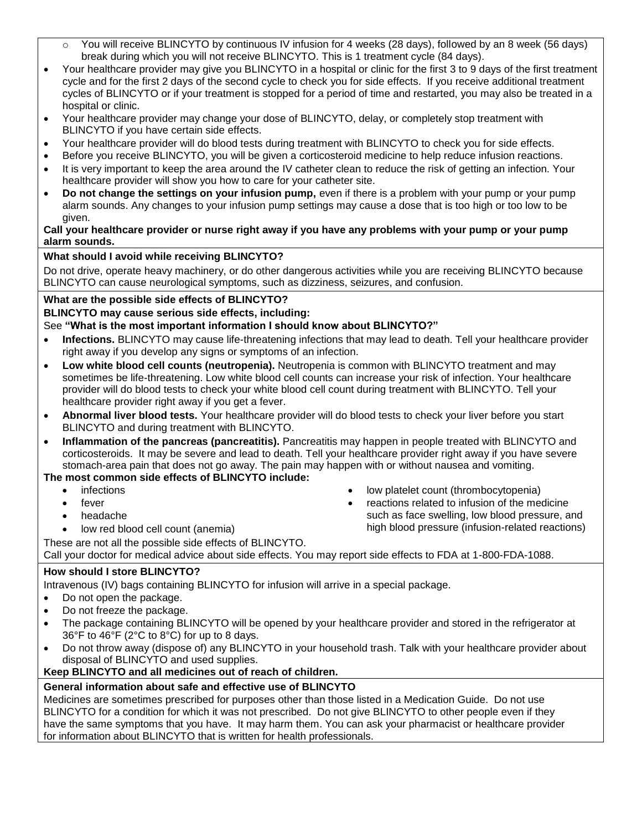- $\circ$  You will receive BLINCYTO by continuous IV infusion for 4 weeks (28 days), followed by an 8 week (56 days) break during which you will not receive BLINCYTO. This is 1 treatment cycle (84 days).
- Your healthcare provider may give you BLINCYTO in a hospital or clinic for the first 3 to 9 days of the first treatment cycle and for the first 2 days of the second cycle to check you for side effects. If you receive additional treatment cycles of BLINCYTO or if your treatment is stopped for a period of time and restarted, you may also be treated in a hospital or clinic.
- Your healthcare provider may change your dose of BLINCYTO, delay, or completely stop treatment with BLINCYTO if you have certain side effects.
- Your healthcare provider will do blood tests during treatment with BLINCYTO to check you for side effects.
- Before you receive BLINCYTO, you will be given a corticosteroid medicine to help reduce infusion reactions.
- It is very important to keep the area around the IV catheter clean to reduce the risk of getting an infection. Your healthcare provider will show you how to care for your catheter site.
- **Do not change the settings on your infusion pump,** even if there is a problem with your pump or your pump alarm sounds. Any changes to your infusion pump settings may cause a dose that is too high or too low to be given.

#### **Call your healthcare provider or nurse right away if you have any problems with your pump or your pump alarm sounds.**

### **What should I avoid while receiving BLINCYTO?**

Do not drive, operate heavy machinery, or do other dangerous activities while you are receiving BLINCYTO because BLINCYTO can cause neurological symptoms, such as dizziness, seizures, and confusion.

### **What are the possible side effects of BLINCYTO?**

### **BLINCYTO may cause serious side effects, including:**

### See **"What is the most important information I should know about BLINCYTO?"**

- **Infections.** BLINCYTO may cause life-threatening infections that may lead to death. Tell your healthcare provider right away if you develop any signs or symptoms of an infection.
- **Low white blood cell counts (neutropenia).** Neutropenia is common with BLINCYTO treatment and may sometimes be life-threatening. Low white blood cell counts can increase your risk of infection. Your healthcare provider will do blood tests to check your white blood cell count during treatment with BLINCYTO. Tell your healthcare provider right away if you get a fever.
- **Abnormal liver blood tests.** Your healthcare provider will do blood tests to check your liver before you start BLINCYTO and during treatment with BLINCYTO.
- **Inflammation of the pancreas (pancreatitis).** Pancreatitis may happen in people treated with BLINCYTO and corticosteroids. It may be severe and lead to death. Tell your healthcare provider right away if you have severe stomach-area pain that does not go away. The pain may happen with or without nausea and vomiting.

# **The most common side effects of BLINCYTO include:**

- infections
- fever
- headache
- low red blood cell count (anemia)
- low platelet count (thrombocytopenia) reactions related to infusion of the medicine
- such as face swelling, low blood pressure, and high blood pressure (infusion-related reactions)

These are not all the possible side effects of BLINCYTO. Call your doctor for medical advice about side effects. You may report side effects to FDA at 1-800-FDA-1088.

# **How should I store BLINCYTO?**

Intravenous (IV) bags containing BLINCYTO for infusion will arrive in a special package.

- Do not open the package.
- Do not freeze the package.
- The package containing BLINCYTO will be opened by your healthcare provider and stored in the refrigerator at 36°F to 46°F (2°C to 8°C) for up to 8 days.
- Do not throw away (dispose of) any BLINCYTO in your household trash. Talk with your healthcare provider about disposal of BLINCYTO and used supplies.

### **Keep BLINCYTO and all medicines out of reach of children.**

# **General information about safe and effective use of BLINCYTO**

Medicines are sometimes prescribed for purposes other than those listed in a Medication Guide. Do not use BLINCYTO for a condition for which it was not prescribed. Do not give BLINCYTO to other people even if they have the same symptoms that you have. It may harm them. You can ask your pharmacist or healthcare provider for information about BLINCYTO that is written for health professionals.